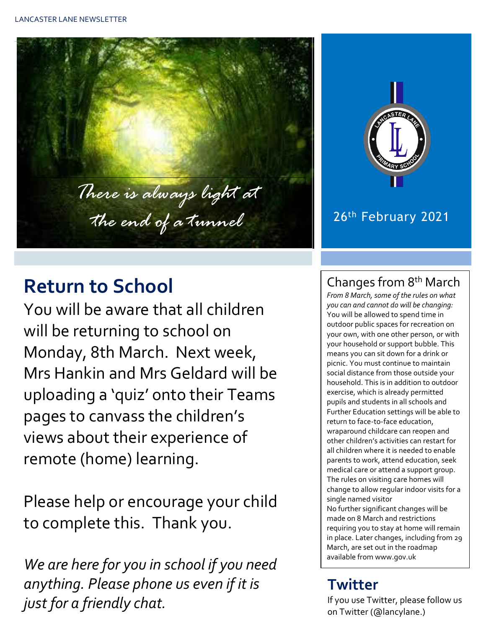



#### 26th February 2021

# **Return to School**

You will be aware that all children will be returning to school on Monday, 8th March. Next week, Mrs Hankin and Mrs Geldard will be uploading a 'quiz' onto their Teams pages to canvass the children's views about their experience of remote (home) learning.

Please help or encourage your child to complete this. Thank you.

*We are here for you in school if you need anything. Please phone us even if it is just for a friendly chat.* 

#### Changes from 8th March

*From 8 March, some of the rules on what you can and cannot do will be changing:* You will be allowed to spend time in outdoor public spaces for recreation on your own, with one other person, or with your household or support bubble. This means you can sit down for a drink or picnic. You must continue to maintain social distance from those outside your household. This is in addition to outdoor exercise, which is already permitted pupils and students in all schools and Further Education settings will be able to return to face-to-face education, wraparound childcare can reopen and other children's activities can restart for all children where it is needed to enable parents to work, attend education, seek medical care or attend a support group. The rules on visiting care homes will change to allow regular indoor visits for a single named visitor No further significant changes will be made on 8 March and restrictions requiring you to stay at home will remain in place. Later changes, including from 29 March, are set out in the roadmap available from www.gov.uk

# **Twitter**

If you use Twitter, please follow us education (Classicare) on Twitter (@lancylane.)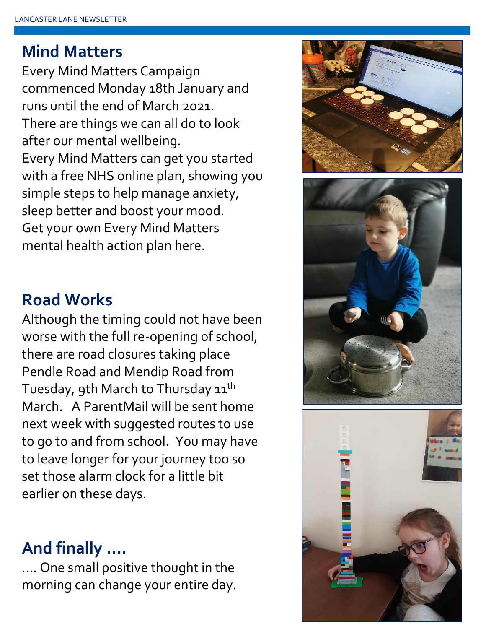# **Mind Matters**

Every Mind Matters Campaign commenced Monday 18th January and runs until the end of March 2021. There are things we can all do to look after our mental wellbeing. Every Mind Matters can get you started with a free NHS online plan, showing you simple steps to help manage anxiety, sleep better and boost your mood. Get your own Every Mind Matters mental health action plan here.





# **Road Works**

Although the timing could not have been worse with the full re-opening of school, there are road closures taking place Pendle Road and Mendip Road from Tuesday, 9th March to Thursday 11<sup>th</sup> March. A ParentMail will be sent home next week with suggested routes to use to go to and from school. You may have to leave longer for your journey too so set those alarm clock for a little bit earlier on these days.

## **And finally ….**

…. One small positive thought in the morning can change your entire day.